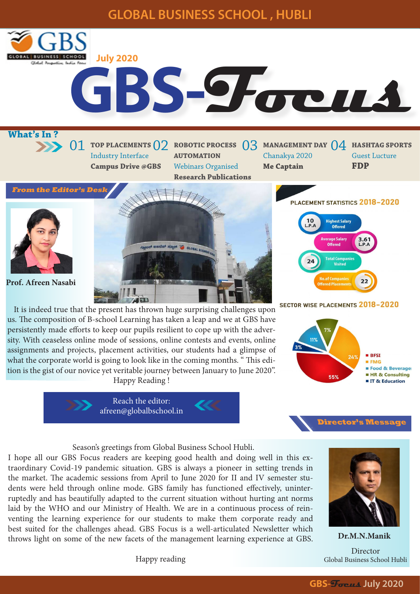# **GLOBAL BUSINESS SCHOOL , HUBLI OBAL BUSINESS SCHOOL July 2020** Global Program **GBS-Focus What's In ?** 01 TOP PLACEMENTS 02 ROBOTIC PROCESS 03 MANAGEMENT DAY 04 HASHTAG SPORTS Industry Interface **AUTOMATION**  Chanakya 2020 Guest Lucture **FDP Campus Drive @GBS** Webinars Organised **Me Captain Research Publications From the Editor's Desk**PLACEMENT STATISTICS 2018-2020 **Highest Salary Offered** erage Salary **Offered** ಗ್ಲೋಬಲ್ ಬಜನೆಸ್ ಸ್ಟೂಲ್ ಶ GLOBAL Bu **Total Comp** Visited  $22$ **Prof. Afreen Nasabi** ed Placer **AD**

**SECTOR WISE PLACEMENTS 2018-2020**  It is indeed true that the present has thrown huge surprising challenges upon us. The composition of B-school Learning has taken a leap and we at GBS have persistently made efforts to keep our pupils resilient to cope up with the adversity. With ceaseless online mode of sessions, online contests and events, online assignments and projects, placement activities, our students had a glimpse of what the corporate world is going to look like in the coming months. " This edition is the gist of our novice yet veritable journey between January to June 2020". Happy Reading !





Season's greetings from Global Business School Hubli.

I hope all our GBS Focus readers are keeping good health and doing well in this extraordinary Covid-19 pandemic situation. GBS is always a pioneer in setting trends in the market. The academic sessions from April to June 2020 for II and IV semester students were held through online mode. GBS family has functioned effectively, uninterruptedly and has beautifully adapted to the current situation without hurting ant norms laid by the WHO and our Ministry of Health. We are in a continuous process of reinventing the learning experience for our students to make them corporate ready and best suited for the challenges ahead. GBS Focus is a well-articulated Newsletter which throws light on some of the new facets of the management learning experience at GBS.



**Director's Message**

**Dr.M.N.Manik** Director Global Business School Hubli

Happy reading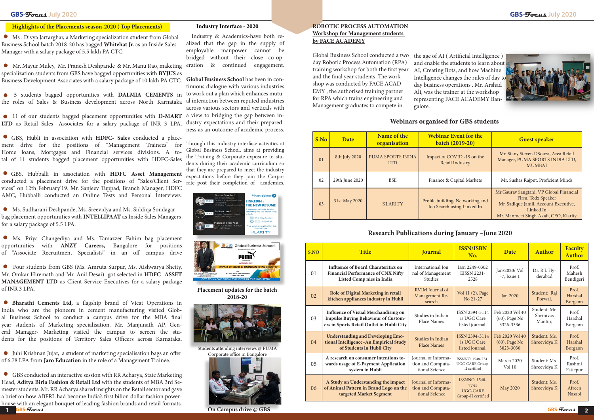Ms . Divya Jartarghar, a Marketing specialization student from Global Business School batch 2018-20 has bagged **Whitehat Jr.** as an Inside Sales Manager with a salary package of 5.5 lakh PA CTC.

 11 of our students bagged placement opportunities with **D-MART**  a view to bridging the gap between in-**LTD** as Retail Sales- Associates for a salary package of INR 3 LPA.

 GBS, Hubli in association with **HDFC- Sales** conducted a placement drive for the positions of "Management Trainees" for Home loans, Mortgages and Financial services divisions. A total of 11 students bagged placement opportunities with HDFC-Sales

 GBS, Hubballi in association with **HDFC Asset Management** conducted a placement drive for the positions of "Sales/Client Services" on 12th February'19. Mr. Sanjeev Tuppad, Branch Manager, HDFC AMC, Hubballi conducted an Online Tests and Personal Interviews.

 GBS conducted an interactive session with RR Acharya, State Marketing Head, **Aditya Birla Fashion & Retail Ltd** with the students of MBA 3rd Semester students. Mr. RR Acharya shared insights on the Retail sector and gave a brief on how ABFRL had become India's first bilion dollar fashion powerhouse with an elegant bouquet of leading fashion brands and retail formats. **GBS-Focus GBS-Focus 1** *CBS-Focus CBS-Focus CDS-Focus CDS CDS CDS CDS CDS CDS-Focus CDS-Focus* **2** 

 Ms. Sudharani Deshpande, Ms. Sreevidya and Ms. Siddiqa Soudagar bag placement opportunities with **INTELLIPAAT** as Inside Sales Managers for a salary package of 5.5 LPA.

 Ms. Priya Changediya and Ms. Tamazzer Fahim bag placement opportunities with **ANZY Careers,** Bangalore for positions of "Associate Recruitment Specialists" in an off campus drive

 Four students from GBS (Ms. Amruta Surpur, Ms. Aishwarya Shetty, Mr. Omkar Hiremath and Mr. Anil Desai) got selected in **HDFC- ASSET MANAGEMENT LTD** as Client Service Executives for a salary package of INR 3 LPA.

 **Bharathi Cements Ltd,** a flagship brand of Vicat Operations in India who are the pioneers in cement manufacturing visited Global Business School to conduct a campus drive for the MBA final year students of Marketing specialisation. Mr. Manjunath AP, General Manager- Marketing visited the campus to screen the students for the positions of Territory Sales Officers across Karnataka.

 Juhi Krishnan Jujar, a student of marketing specialisation bags an offer of 6.78 LPA from **Jaro Education** in the role of a Management Trainee.

Mr. Mayur Muley, Mr. Pranesh Deshpande & Mr. Manu Rao, maketing eration & continued engagement. specialization students from GBS have bagged opportunities with **BYJUS** as Business Development Associates with a salary package of 10 lakh PA CTC. **Global Business School** has been in con-

 5 students bagged opportunities with **DALMIA CEMENTS** in to work out a plan which enhances mututhe roles of Sales & Business development across North Karnataka al interaction between reputed industries

# **GBS-Focus July 2020 GBS-Focus July 2020**

| S.NO | <b>Title</b>                                                                                                                           | <b>Journal</b>                                                    | <b>ISSN/ISBN</b><br>No.                                               | <b>Date</b>                                      | <b>Author</b>                        | <b>Faculty</b><br><b>Author</b> |
|------|----------------------------------------------------------------------------------------------------------------------------------------|-------------------------------------------------------------------|-----------------------------------------------------------------------|--------------------------------------------------|--------------------------------------|---------------------------------|
| 01   | <b>Influence of Board Charateritics on</b><br><b>Financial Performance of CNX Nifty</b><br>Listed Comp nies in India                   | International Jou<br>nal of Management<br><b>Studies</b>          | Issn 2249-0302<br><b>EISSN 2231-</b><br>2528                          | Jan/2020/Vol<br>$-7$ , Issue 1                   | Dr. R L Hy-<br>derabad               | Prof.<br>Mahesh<br>Bendigeri    |
| 02   | Role of Digital Marketing in retail<br>kitchen appliances industry in Hubli                                                            | RVIM Journal of<br>Management Re-<br>search                       | Vol 11 (2), Page<br>No 21-27                                          | <b>Jan 2020</b>                                  | Student: Raj<br>Porwal.              | Prof.<br>Harshal<br>Borgaon     |
| 03   | <b>Influence of Visual Merchandising on</b><br><b>Impulse Buying Behaviour of Custom-</b><br>ers in Sports Retail Outlet in Hubli City | Studies in Indian<br>Place Names                                  | ISSN 2394-3114<br>is UGC Care<br>listed journal.                      | Feb 2020 Vol 40<br>(60), Page No<br>3326-3336    | Student: Mr.<br>Shriniyas<br>Mantur, | Prof.<br>Harshal<br>Borgaon     |
| 04   | <b>Understanding and Developing Emo-</b><br>tional Intelligence-An Empirical Study<br>of Students in Hubli City                        | Studies in Indian<br><b>Place Names</b>                           | ISSN 2394-3114<br>is UGC Care<br>listed journal.                      | Feb 2020 Vol 40<br>$(60)$ , Page No<br>3023-3030 | Student: Ms.<br>Shreevidya K         | Prof.<br>Harshal<br>Borgaon     |
| 05   | A research on consumer intentions to-<br>wards usage of E-Payment Application<br>system in Hubli                                       | Journal of Informa-<br>tion and Computa-<br>tional Science        | ISSNNO. 1548-7741<br>UGC-CARE Group-<br>II certified                  | March 2020<br>Vol 10                             | Student: Ms.<br>Shreevidya K         | Prof.<br>Rashmi<br>Fattepur     |
| 06   | A Study on Understanding the impact<br>of Animal Pattern in Brand Logo on the<br>targeted Market Segment                               | <b>Journal of Informa-</b><br>tion and Computa-<br>tional Science | <b>ISSNNO. 1548-</b><br>7741<br><b>UGC-CARE</b><br>Group-II certified | <b>May 2020</b>                                  | Student: Ms.<br>Shreevidya K         | Prof.<br>Afreen<br>Nasabi       |



 Industry & Academics-have both realized that the gap in the supply of employable manpower cannot be bridged without their close co-op-

tinuous dialogue with various industries across various sectors and verticals with dustry expectations and their preparedness as an outcome of academic process.

Through this Industry interface activities at Global Business School, aims at providing the Training & Corporate exposure to students during their academic curriculum so that they are prepared to meet the industry expectations before they join the Corporate post their completion of academics.

## **ROBOTIC PROCESS AUTOMATION Workshop for Management students by FACE ACADEMY**

Global Business School conducted a two day Robotic Process Automation (RPA) training workshop for both the first year and the final year students The workshop was conducted by FACE ACAD-EMY , the authorised training partner for RPA which trains engineering and Management graduates to compete in

### **Highlights of the Placements season-2020 ( Top Placements)**

| S.No           | <b>Date</b>    | Name of the<br>organisation     | <b>Webinar Event for the</b><br>batch (2019-20)                | <b>Guest speaker</b>                                                                                                                                          |  |
|----------------|----------------|---------------------------------|----------------------------------------------------------------|---------------------------------------------------------------------------------------------------------------------------------------------------------------|--|
| 0 <sub>1</sub> | 8th July 2020  | PUMA SPORTS INDIA<br><b>LTD</b> | Impact of COVID -19 on the<br>Retail Industry                  | Mr. Stany Steven DSouza, Area Retail<br>Manager, PUMA SPORTS INDIA LTD,<br><b>MUMBAI</b>                                                                      |  |
| 02             | 29th June 2020 | <b>BSE</b>                      | Finance & Capital Markets                                      | Mr. Sushas Rajput, Proficient Minds                                                                                                                           |  |
| 0 <sub>3</sub> | 31st May 2020  | <b>KLARITY</b>                  | Profile building, Networking and<br>Job Search using Linked In | Mr. Gaurav Sangtani, VP Global Financial<br>Firm. Tedx Speaker<br>Mr. Sadique Jamil, Account Executive,<br>Linked In<br>Mr. Manmeet Singh Akali, CEO, Klarity |  |

### **Industry Interface - 2020**

# **Research Publications during January –June 2020**

the age of AI ( Artificial Intelligence ) and enable the students to learn about AI, Creating Bots, and how Machine Intelligence changes the rules of day to day business operations . Mr. Arshad Ali, was the trainer at the workshop representing FACE ACADEMY Bangalore.



**Placement updates for the batch 2018-20**



Students attending interviews @ PUMA Corporate office in Bangalore



**On Campus drive @ GBS** 

# **Webinars organised for GBS students**